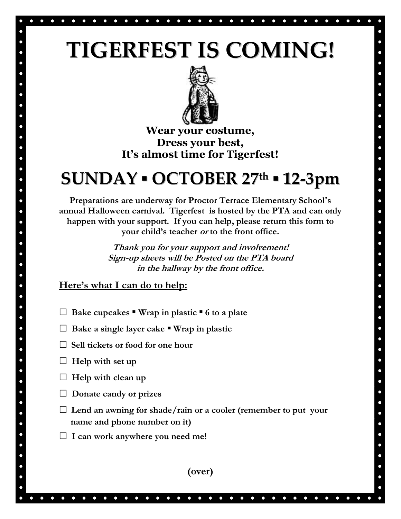## **TIGERFEST IS COMING!**



**Wear your costume, Dress your best, It's almost time for Tigerfest!**

## **SUNDAY ▪ OCTOBER 27 th ▪ 12-3pm**

**Preparations are underway for Proctor Terrace Elementary School's annual Halloween carnival. Tigerfest is hosted by the PTA and can only happen with your support. If you can help, please return this form to your child's teacher or to the front office.**

> **Thank you for your support and involvement! Sign-up sheets will be Posted on the PTA board in the hallway by the front office.**

**Here's what I can do to help:**

- **□ Bake cupcakes Wrap in plastic ▪ 6 to a plate**
- **□ Bake a single layer cake ▪ Wrap in plastic**
- **□ Sell tickets or food for one hour**
- **□ Help with set up**
- **□ Help with clean up**
- **□ Donate candy or prizes**
- **□ Lend an awning for shade/rain or a cooler (remember to put your name and phone number on it)**
- **□ I can work anywhere you need me!**



 $\bullet$  $\bullet$  $\bullet$